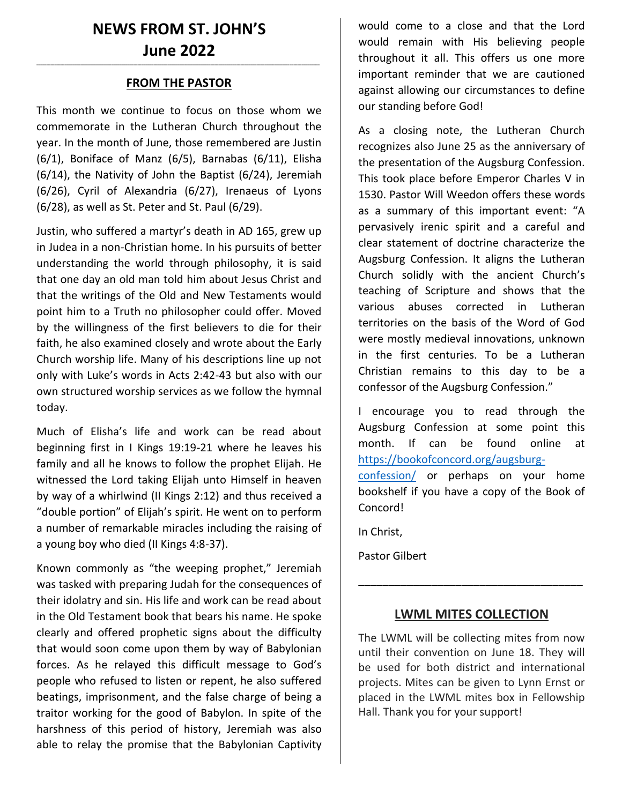# **NEWS FROM ST. JOHN'S June 2022**

## **\_\_\_\_\_\_\_\_\_\_\_\_\_\_\_\_\_\_\_\_\_\_\_\_\_\_\_\_\_\_\_\_\_\_\_\_\_\_\_\_\_\_\_\_\_\_\_\_\_\_\_\_\_\_\_\_\_\_\_\_\_\_\_\_\_\_\_\_\_\_\_\_\_\_\_\_\_\_\_\_\_\_\_\_\_\_\_\_\_\_\_\_\_\_\_\_\_\_\_\_\_\_\_\_\_\_\_\_\_\_\_\_\_\_\_\_\_\_\_\_\_\_\_\_\_\_\_\_\_\_\_\_\_\_\_\_\_\_\_\_ FROM THE PASTOR**

This month we continue to focus on those whom we commemorate in the Lutheran Church throughout the year. In the month of June, those remembered are Justin (6/1), Boniface of Manz (6/5), Barnabas (6/11), Elisha (6/14), the Nativity of John the Baptist (6/24), Jeremiah (6/26), Cyril of Alexandria (6/27), Irenaeus of Lyons (6/28), as well as St. Peter and St. Paul (6/29).

Justin, who suffered a martyr's death in AD 165, grew up in Judea in a non-Christian home. In his pursuits of better understanding the world through philosophy, it is said that one day an old man told him about Jesus Christ and that the writings of the Old and New Testaments would point him to a Truth no philosopher could offer. Moved by the willingness of the first believers to die for their faith, he also examined closely and wrote about the Early Church worship life. Many of his descriptions line up not only with Luke's words in Acts 2:42-43 but also with our own structured worship services as we follow the hymnal today.

Much of Elisha's life and work can be read about beginning first in I Kings 19:19-21 where he leaves his family and all he knows to follow the prophet Elijah. He witnessed the Lord taking Elijah unto Himself in heaven by way of a whirlwind (II Kings 2:12) and thus received a "double portion" of Elijah's spirit. He went on to perform a number of remarkable miracles including the raising of a young boy who died (II Kings 4:8-37).

Known commonly as "the weeping prophet," Jeremiah was tasked with preparing Judah for the consequences of their idolatry and sin. His life and work can be read about in the Old Testament book that bears his name. He spoke clearly and offered prophetic signs about the difficulty that would soon come upon them by way of Babylonian forces. As he relayed this difficult message to God's people who refused to listen or repent, he also suffered beatings, imprisonment, and the false charge of being a traitor working for the good of Babylon. In spite of the harshness of this period of history, Jeremiah was also able to relay the promise that the Babylonian Captivity

would come to a close and that the Lord would remain with His believing people throughout it all. This offers us one more important reminder that we are cautioned against allowing our circumstances to define our standing before God!

As a closing note, the Lutheran Church recognizes also June 25 as the anniversary of the presentation of the Augsburg Confession. This took place before Emperor Charles V in 1530. Pastor Will Weedon offers these words as a summary of this important event: "A pervasively irenic spirit and a careful and clear statement of doctrine characterize the Augsburg Confession. It aligns the Lutheran Church solidly with the ancient Church's teaching of Scripture and shows that the various abuses corrected in Lutheran territories on the basis of the Word of God were mostly medieval innovations, unknown in the first centuries. To be a Lutheran Christian remains to this day to be a confessor of the Augsburg Confession."

I encourage you to read through the Augsburg Confession at some point this month. If can be found online at [https://bookofconcord.org/augsburg-](https://bookofconcord.org/augsburg-confession/)

[confession/](https://bookofconcord.org/augsburg-confession/) or perhaps on your home bookshelf if you have a copy of the Book of Concord!

In Christ,

Pastor Gilbert

#### **LWML MITES COLLECTION**

\_\_\_\_\_\_\_\_\_\_\_\_\_\_\_\_\_\_\_\_\_\_\_\_\_\_\_\_\_\_\_\_\_\_\_\_\_

The LWML will be collecting mites from now until their convention on June 18. They will be used for both district and international projects. Mites can be given to Lynn Ernst or placed in the LWML mites box in Fellowship Hall. Thank you for your support!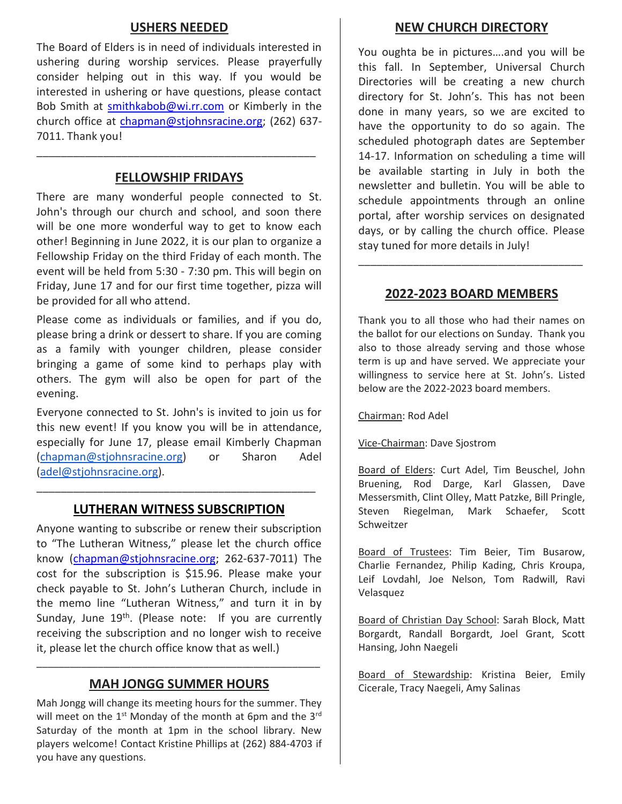## **USHERS NEEDED**

The Board of Elders is in need of individuals interested in ushering during worship services. Please prayerfully consider helping out in this way. If you would be interested in ushering or have questions, please contact Bob Smith at [smithkabob@wi.rr.com](mailto:smithkabob@wi.rr.com) or Kimberly in the church office at [chapman@stjohnsracine.org;](mailto:chapman@stjohnsracine.org) (262) 637- 7011. Thank you!

## **FELLOWSHIP FRIDAYS**

\_\_\_\_\_\_\_\_\_\_\_\_\_\_\_\_\_\_\_\_\_\_\_\_\_\_\_\_\_\_\_\_\_\_\_\_\_\_\_\_\_\_\_\_\_\_

There are many wonderful people connected to St. John's through our church and school, and soon there will be one more wonderful way to get to know each other! Beginning in June 2022, it is our plan to organize a Fellowship Friday on the third Friday of each month. The event will be held from 5:30 - 7:30 pm. This will begin on Friday, June 17 and for our first time together, pizza will be provided for all who attend.

Please come as individuals or families, and if you do, please bring a drink or dessert to share. If you are coming as a family with younger children, please consider bringing a game of some kind to perhaps play with others. The gym will also be open for part of the evening.

Everyone connected to St. John's is invited to join us for this new event! If you know you will be in attendance, especially for June 17, please email Kimberly Chapman [\(chapman@stjohnsracine.org\)](mailto:chapman@stjohnsracine.org) or Sharon Adel [\(adel@stjohnsracine.org\)](mailto:adel@stjohnsracine.org).

# **LUTHERAN WITNESS SUBSCRIPTION**

\_\_\_\_\_\_\_\_\_\_\_\_\_\_\_\_\_\_\_\_\_\_\_\_\_\_\_\_\_\_\_\_\_\_\_\_\_\_\_\_\_\_\_\_\_\_

Anyone wanting to subscribe or renew their subscription to "The Lutheran Witness," please let the church office know [\(chapman@stjohnsracine.org;](mailto:chapman@stjohnsracine.org) 262-637-7011) The cost for the subscription is \$15.96. Please make your check payable to St. John's Lutheran Church, include in the memo line "Lutheran Witness," and turn it in by Sunday, June 19<sup>th</sup>. (Please note: If you are currently receiving the subscription and no longer wish to receive it, please let the church office know that as well.)

# **MAH JONGG SUMMER HOURS**

\_\_\_\_\_\_\_\_\_\_\_\_\_\_\_\_\_\_\_\_\_\_\_\_\_\_\_\_\_\_\_\_\_\_\_\_\_\_\_\_\_\_\_\_\_\_\_\_\_\_\_

Mah Jongg will change its meeting hours for the summer. They will meet on the  $1<sup>st</sup>$  Monday of the month at 6pm and the  $3<sup>rd</sup>$ Saturday of the month at 1pm in the school library. New players welcome! Contact Kristine Phillips at (262) 884-4703 if you have any questions.

#### **NEW CHURCH DIRECTORY**

You oughta be in pictures….and you will be this fall. In September, Universal Church Directories will be creating a new church directory for St. John's. This has not been done in many years, so we are excited to have the opportunity to do so again. The scheduled photograph dates are September 14-17. Information on scheduling a time will be available starting in July in both the newsletter and bulletin. You will be able to schedule appointments through an online portal, after worship services on designated days, or by calling the church office. Please stay tuned for more details in July!

#### **2022-2023 BOARD MEMBERS**

\_\_\_\_\_\_\_\_\_\_\_\_\_\_\_\_\_\_\_\_\_\_\_\_\_\_\_\_\_\_\_\_\_\_\_\_\_

Thank you to all those who had their names on the ballot for our elections on Sunday. Thank you also to those already serving and those whose term is up and have served. We appreciate your willingness to service here at St. John's. Listed below are the 2022-2023 board members.

Chairman: Rod Adel

Vice-Chairman: Dave Sjostrom

Board of Elders: Curt Adel, Tim Beuschel, John Bruening, Rod Darge, Karl Glassen, Dave Messersmith, Clint Olley, Matt Patzke, Bill Pringle, Steven Riegelman, Mark Schaefer, Scott Schweitzer

Board of Trustees: Tim Beier, Tim Busarow, Charlie Fernandez, Philip Kading, Chris Kroupa, Leif Lovdahl, Joe Nelson, Tom Radwill, Ravi Velasquez

Board of Christian Day School: Sarah Block, Matt Borgardt, Randall Borgardt, Joel Grant, Scott Hansing, John Naegeli

Board of Stewardship: Kristina Beier, Emily Cicerale, Tracy Naegeli, Amy Salinas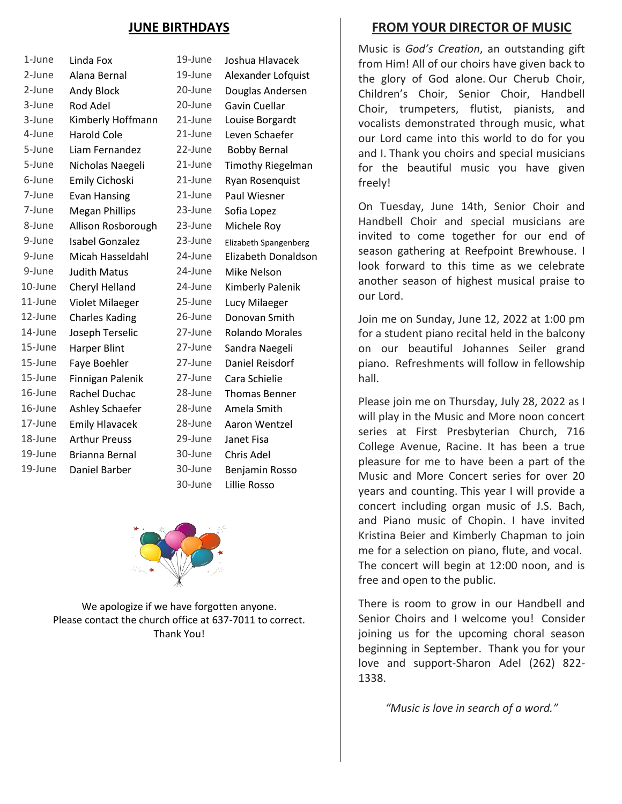# **JUNE BIRTHDAYS**

| 1-June  | Linda Fox              | 19-June | Joshua Hlavacek              |  |
|---------|------------------------|---------|------------------------------|--|
| 2-June  | Alana Bernal           | 19-June | Alexander Lofquist           |  |
| 2-June  | Andy Block             | 20-June | Douglas Andersen             |  |
| 3-June  | Rod Adel               | 20-June | <b>Gavin Cuellar</b>         |  |
| 3-June  | Kimberly Hoffmann      | 21-June | Louise Borgardt              |  |
| 4-June  | <b>Harold Cole</b>     | 21-June | Leven Schaefer               |  |
| 5-June  | Liam Fernandez         | 22-June | <b>Bobby Bernal</b>          |  |
| 5-June  | Nicholas Naegeli       | 21-June | <b>Timothy Riegelman</b>     |  |
| 6-June  | Emily Cichoski         | 21-June | Ryan Rosenquist              |  |
| 7-June  | <b>Evan Hansing</b>    | 21-June | Paul Wiesner                 |  |
| 7-June  | <b>Megan Phillips</b>  | 23-June | Sofia Lopez                  |  |
| 8-June  | Allison Rosborough     | 23-June | Michele Roy                  |  |
| 9-June  | <b>Isabel Gonzalez</b> | 23-June | <b>Elizabeth Spangenberg</b> |  |
| 9-June  | Micah Hasseldahl       | 24-June | Elizabeth Donaldson          |  |
| 9-June  | <b>Judith Matus</b>    | 24-June | Mike Nelson                  |  |
| 10-June | Cheryl Helland         | 24-June | Kimberly Palenik             |  |
| 11-June | Violet Milaeger        | 25-June | Lucy Milaeger                |  |
| 12-June | <b>Charles Kading</b>  | 26-June | Donovan Smith                |  |
| 14-June | Joseph Terselic        | 27-June | <b>Rolando Morales</b>       |  |
| 15-June | Harper Blint           | 27-June | Sandra Naegeli               |  |
| 15-June | Faye Boehler           | 27-June | Daniel Reisdorf              |  |
| 15-June | Finnigan Palenik       | 27-June | Cara Schielie                |  |
| 16-June | Rachel Duchac          | 28-June | <b>Thomas Benner</b>         |  |
| 16-June | Ashley Schaefer        | 28-June | Amela Smith                  |  |
| 17-June | <b>Emily Hlavacek</b>  | 28-June | Aaron Wentzel                |  |
| 18-June | <b>Arthur Preuss</b>   | 29-June | Janet Fisa                   |  |
| 19-June | Brianna Bernal         | 30-June | Chris Adel                   |  |
| 19-June | Daniel Barber          | 30-June | Benjamin Rosso               |  |
|         |                        | 30-June | Lillie Rosso                 |  |



We apologize if we have forgotten anyone. Please contact the church office at 637-7011 to correct. Thank You!

# **FROM YOUR DIRECTOR OF MUSIC**

Music is *God's Creation*, an outstanding gift from Him! All of our choirs have given back to the glory of God alone. Our Cherub Choir, Children's Choir, Senior Choir, Handbell Choir, trumpeters, flutist, pianists, and vocalists demonstrated through music, what our Lord came into this world to do for you and I. Thank you choirs and special musicians for the beautiful music you have given freely!

On Tuesday, June 14th, Senior Choir and Handbell Choir and special musicians are invited to come together for our end of season gathering at Reefpoint Brewhouse. I look forward to this time as we celebrate another season of highest musical praise to our Lord.

Join me on Sunday, June 12, 2022 at 1:00 pm for a student piano recital held in the balcony on our beautiful Johannes Seiler grand piano. Refreshments will follow in fellowship hall.

Please join me on Thursday, July 28, 2022 as I will play in the Music and More noon concert series at First Presbyterian Church, 716 College Avenue, Racine. It has been a true pleasure for me to have been a part of the Music and More Concert series for over 20 years and counting. This year I will provide a concert including organ music of J.S. Bach, and Piano music of Chopin. I have invited Kristina Beier and Kimberly Chapman to join me for a selection on piano, flute, and vocal. The concert will begin at 12:00 noon, and is free and open to the public.

There is room to grow in our Handbell and Senior Choirs and I welcome you! Consider joining us for the upcoming choral season beginning in September. Thank you for your love and support-Sharon Adel (262) 822- 1338.

*"Music is love in search of a word."*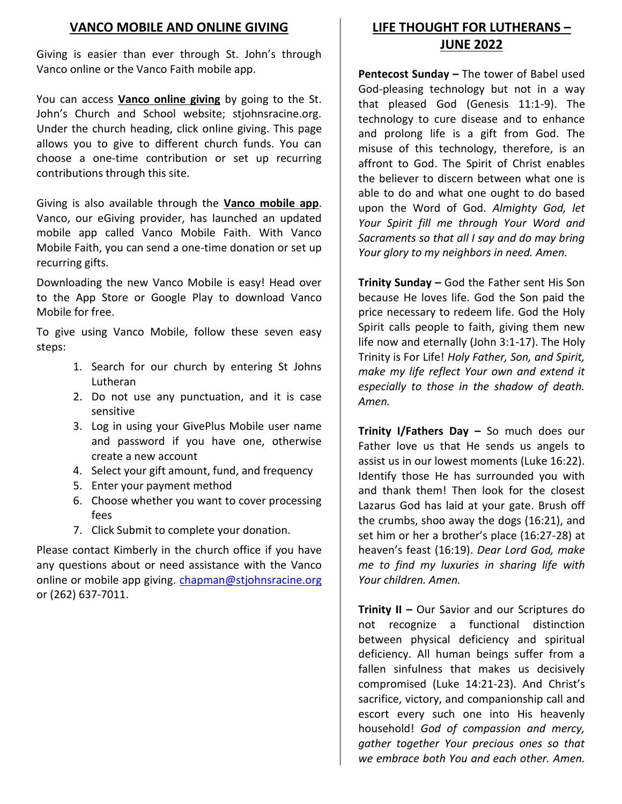# **VANCO MOBILE AND ONLINE GIVING**

Giving is easier than ever through St. John's through Vanco online or the Vanco Faith mobile app.

You can access **Vanco online giving** by going to the St. John's Church and School website; stjohnsracine.org. Under the church heading, click online giving. This page allows you to give to different church funds. You can choose a one-time contribution or set up recurring contributions through this site.

Giving is also available through the **Vanco mobile app**. Vanco, our eGiving provider, has launched an updated mobile app called Vanco Mobile Faith. With Vanco Mobile Faith, you can send a one-time donation or set up recurring gifts.

Downloading the new Vanco Mobile is easy! Head over to the App Store or Google Play to download Vanco Mobile for free.

To give using Vanco Mobile, follow these seven easy steps:

- 1. Search for our church by entering St Johns Lutheran
- 2. Do not use any punctuation, and it is case sensitive
- 3. Log in using your GivePlus Mobile user name and password if you have one, otherwise create a new account
- 4. Select your gift amount, fund, and frequency
- 5. Enter your payment method
- 6. Choose whether you want to cover processing fees
- 7. Click Submit to complete your donation.

Please contact Kimberly in the church office if you have any questions about or need assistance with the Vanco online or mobile app giving. [chapman@stjohnsracine.org](mailto:chapman@stjohnsracine.org) or (262) 637-7011.

# **LIFE THOUGHT FOR LUTHERANS – JUNE 2022**

**Pentecost Sunday –** The tower of Babel used God-pleasing technology but not in a way that pleased God (Genesis 11:1-9). The technology to cure disease and to enhance and prolong life is a gift from God. The misuse of this technology, therefore, is an affront to God. The Spirit of Christ enables the believer to discern between what one is able to do and what one ought to do based upon the Word of God. *Almighty God, let Your Spirit fill me through Your Word and Sacraments so that all I say and do may bring Your glory to my neighbors in need. Amen.*

**Trinity Sunday –** God the Father sent His Son because He loves life. God the Son paid the price necessary to redeem life. God the Holy Spirit calls people to faith, giving them new life now and eternally (John 3:1-17). The Holy Trinity is For Life! *Holy Father, Son, and Spirit, make my life reflect Your own and extend it especially to those in the shadow of death. Amen.*

**Trinity I/Fathers Day –** So much does our Father love us that He sends us angels to assist us in our lowest moments (Luke 16:22). Identify those He has surrounded you with and thank them! Then look for the closest Lazarus God has laid at your gate. Brush off the crumbs, shoo away the dogs (16:21), and set him or her a brother's place (16:27-28) at heaven's feast (16:19). *Dear Lord God, make me to find my luxuries in sharing life with Your children. Amen.*

**Trinity II –** Our Savior and our Scriptures do not recognize a functional distinction between physical deficiency and spiritual deficiency. All human beings suffer from a fallen sinfulness that makes us decisively compromised (Luke 14:21-23). And Christ's sacrifice, victory, and companionship call and escort every such one into His heavenly household! *God of compassion and mercy, gather together Your precious ones so that we embrace both You and each other. Amen.*